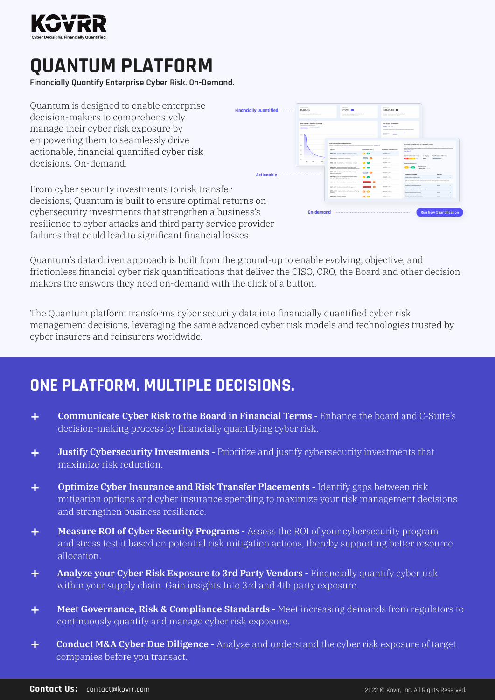

# *OUANTUM PLATFORM*

**Financially Quantify Enterprise Cyber Risk. On-Demand.** 

Ouantum is designed to enable enterprise decision-makers to comprehensively manage their cyber risk exposure by empowering them to seamlessly drive actionable, financial quantified cyber risk decisions. On-demand



From cyber security investments to risk transfer decisions. Ouantum is built to ensure optimal returns on cybersecurity investments that strengthen a business's resilience to cyber attacks and third party service provider failures that could lead to significant financial losses.

Ouantum's data driven approach is built from the ground-up to enable evolving, objective, and frictionless financial cyber risk quantifications that deliver the CISO, CRO, the Board and other decision makers the answers they need on-demand with the click of a button.

The Quantum platform transforms cyber security data into financially quantified cyber risk management decisions, leveraging the same advanced cyber risk models and technologies trusted by cyber insurers and reinsurers worldwide.

## **ONE PLATFORM. MULTIPLE DECISIONS.**

- **Communicate Cyber Risk to the Board in Financial Terms Enhance the board and C-Suite's** ÷ decision-making process by financially quantifying cyber risk.
- **Justify Cybersecurity Investments Prioritize and justify cybersecurity investments that** ÷ maximize risk reduction.
- **Optimize Cyber Insurance and Risk Transfer Placements Identify gaps between risk** ÷ mitigation options and cyber insurance spending to maximize your risk management decisions and strengthen business resilience.
- **Measure ROI of Cyber Security Programs Assess the ROI of your cybersecurity program** ÷ and stress test it based on potential risk mitigation actions, thereby supporting better resource .allocation
- Analyze your Cyber Risk Exposure to 3rd Party Vendors Financially quantify cyber risk ÷ within your supply chain. Gain insights Into 3rd and 4th party exposure.
- Meet Governance, Risk & Compliance Standards Meet increasing demands from regulators to ÷ continuously quantify and manage cyber risk exposure.
- **Conduct M&A Cyber Due Diligence -** Analyze and understand the cyber risk exposure of target ٠ companies before you transact.